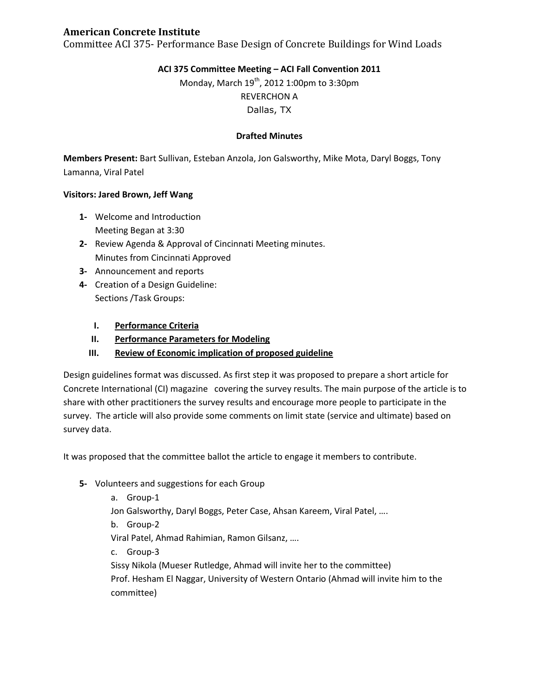# **American Concrete Institute**

Committee ACI 375- Performance Base Design of Concrete Buildings for Wind Loads

# **ACI 375 Committee Meeting – ACI Fall Convention 2011**

Monday, March  $19^{th}$ , 2012 1:00pm to 3:30pm REVERCHON A Dallas, TX

### **Drafted Minutes**

**Members Present:** Bart Sullivan, Esteban Anzola, Jon Galsworthy, Mike Mota, Daryl Boggs, Tony Lamanna, Viral Patel

#### **Visitors: Jared Brown, Jeff Wang**

- **1-** Welcome and Introduction Meeting Began at 3:30
- **2-** Review Agenda & Approval of Cincinnati Meeting minutes. Minutes from Cincinnati Approved
- **3-** Announcement and reports
- **4-** Creation of a Design Guideline: Sections /Task Groups:
	- **I. Performance Criteria**
	- **II. Performance Parameters for Modeling**
	- **III. Review of Economic implication of proposed guideline**

Design guidelines format was discussed. As first step it was proposed to prepare a short article for Concrete International (CI) magazine covering the survey results. The main purpose of the article is to share with other practitioners the survey results and encourage more people to participate in the survey. The article will also provide some comments on limit state (service and ultimate) based on survey data.

It was proposed that the committee ballot the article to engage it members to contribute.

- **5-** Volunteers and suggestions for each Group
	- a. Group-1

Jon Galsworthy, Daryl Boggs, Peter Case, Ahsan Kareem, Viral Patel, ….

b. Group-2

Viral Patel, Ahmad Rahimian, Ramon Gilsanz, ….

c. Group-3

Sissy Nikola (Mueser Rutledge, Ahmad will invite her to the committee) Prof. Hesham El Naggar, University of Western Ontario (Ahmad will invite him to the committee)